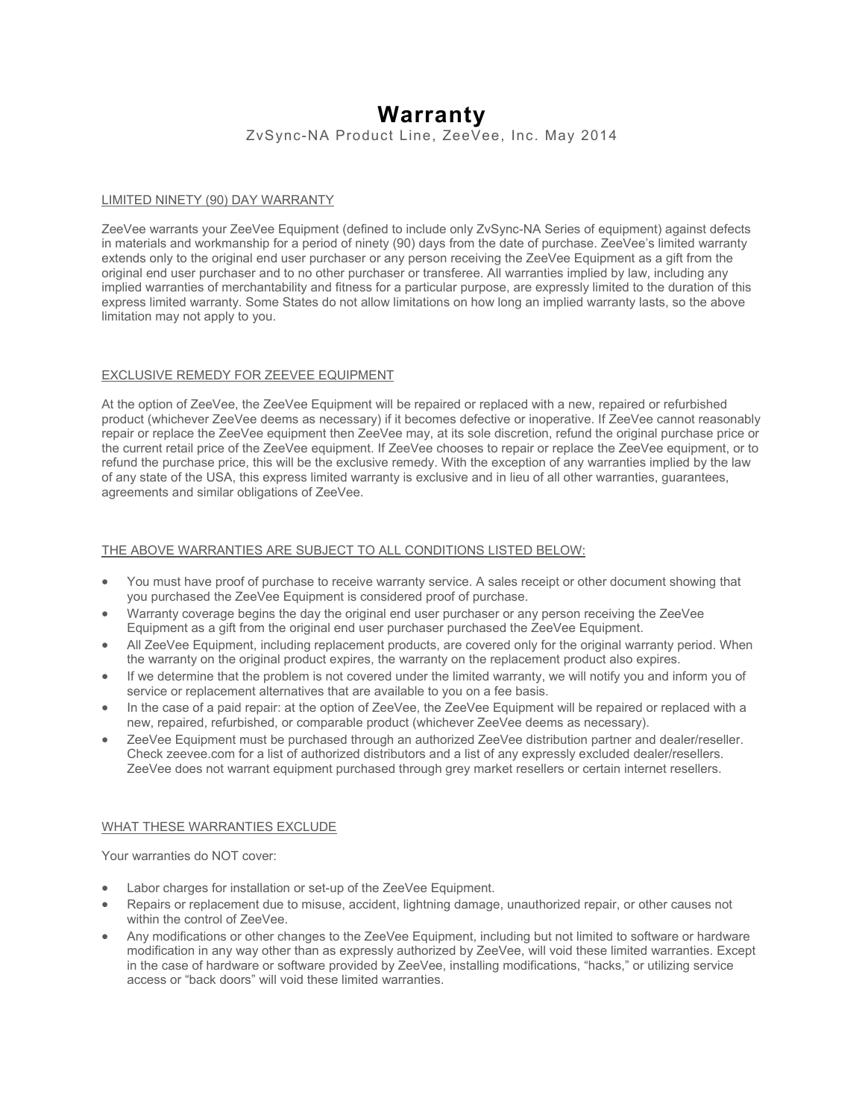# **Warranty**

ZvSync-NA Product Line, ZeeVee, Inc. May 2014

# LIMITED NINETY (90) DAY WARRANTY

ZeeVee warrants your ZeeVee Equipment (defined to include only ZvSync-NA Series of equipment) against defects in materials and workmanship for a period of ninety (90) days from the date of purchase. ZeeVee's limited warranty extends only to the original end user purchaser or any person receiving the ZeeVee Equipment as a gift from the original end user purchaser and to no other purchaser or transferee. All warranties implied by law, including any implied warranties of merchantability and fitness for a particular purpose, are expressly limited to the duration of this express limited warranty. Some States do not allow limitations on how long an implied warranty lasts, so the above limitation may not apply to you.

## EXCLUSIVE REMEDY FOR ZEEVEE EQUIPMENT

At the option of ZeeVee, the ZeeVee Equipment will be repaired or replaced with a new, repaired or refurbished product (whichever ZeeVee deems as necessary) if it becomes defective or inoperative. If ZeeVee cannot reasonably repair or replace the ZeeVee equipment then ZeeVee may, at its sole discretion, refund the original purchase price or the current retail price of the ZeeVee equipment. If ZeeVee chooses to repair or replace the ZeeVee equipment, or to refund the purchase price, this will be the exclusive remedy. With the exception of any warranties implied by the law of any state of the USA, this express limited warranty is exclusive and in lieu of all other warranties, guarantees, agreements and similar obligations of ZeeVee.

# THE ABOVE WARRANTIES ARE SUBJECT TO ALL CONDITIONS LISTED BELOW:

- You must have proof of purchase to receive warranty service. A sales receipt or other document showing that you purchased the ZeeVee Equipment is considered proof of purchase.
- Warranty coverage begins the day the original end user purchaser or any person receiving the ZeeVee Equipment as a gift from the original end user purchaser purchased the ZeeVee Equipment.
- All ZeeVee Equipment, including replacement products, are covered only for the original warranty period. When the warranty on the original product expires, the warranty on the replacement product also expires.
- If we determine that the problem is not covered under the limited warranty, we will notify you and inform you of service or replacement alternatives that are available to you on a fee basis.
- In the case of a paid repair: at the option of ZeeVee, the ZeeVee Equipment will be repaired or replaced with a new, repaired, refurbished, or comparable product (whichever ZeeVee deems as necessary).
- ZeeVee Equipment must be purchased through an authorized ZeeVee distribution partner and dealer/reseller. Check zeevee.com for a list of authorized distributors and a list of any expressly excluded dealer/resellers. ZeeVee does not warrant equipment purchased through grey market resellers or certain internet resellers.

## WHAT THESE WARRANTIES EXCLUDE

Your warranties do NOT cover:

- Labor charges for installation or set-up of the ZeeVee Equipment.
- Repairs or replacement due to misuse, accident, lightning damage, unauthorized repair, or other causes not within the control of ZeeVee.
- Any modifications or other changes to the ZeeVee Equipment, including but not limited to software or hardware modification in any way other than as expressly authorized by ZeeVee, will void these limited warranties. Except in the case of hardware or software provided by ZeeVee, installing modifications, "hacks," or utilizing service access or "back doors" will void these limited warranties.